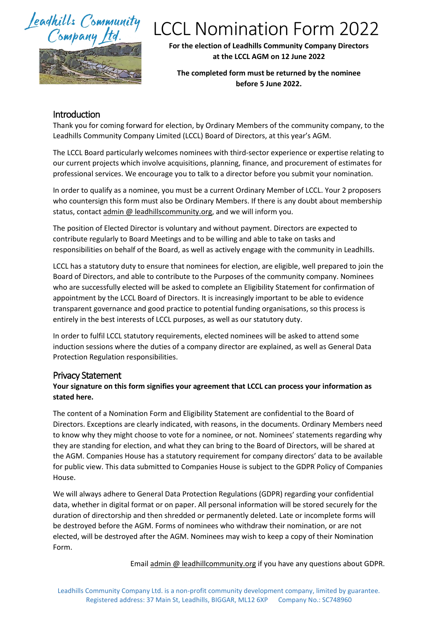## Jeadhills Community Company



# LCCL Nomination Form 2022

**For the election of Leadhills Community Company Directors at the LCCL AGM on 12 June 2022**

**The completed form must be returned by the nominee before 5 June 2022.**

### Introduction

Thank you for coming forward for election, by Ordinary Members of the community company, to the Leadhills Community Company Limited (LCCL) Board of Directors, at this year's AGM.

The LCCL Board particularly welcomes nominees with third-sector experience or expertise relating to our current projects which involve acquisitions, planning, finance, and procurement of estimates for professional services. We encourage you to talk to a director before you submit your nomination.

In order to qualify as a nominee, you must be a current Ordinary Member of LCCL. Your 2 proposers who countersign this form must also be Ordinary Members. If there is any doubt about membership status, contact admin @ leadhillscommunity.org, and we will inform you.

The position of Elected Director is voluntary and without payment. Directors are expected to contribute regularly to Board Meetings and to be willing and able to take on tasks and responsibilities on behalf of the Board, as well as actively engage with the community in Leadhills.

LCCL has a statutory duty to ensure that nominees for election, are eligible, well prepared to join the Board of Directors, and able to contribute to the Purposes of the community company. Nominees who are successfully elected will be asked to complete an Eligibility Statement for confirmation of appointment by the LCCL Board of Directors. It is increasingly important to be able to evidence transparent governance and good practice to potential funding organisations, so this process is entirely in the best interests of LCCL purposes, as well as our statutory duty.

In order to fulfil LCCL statutory requirements, elected nominees will be asked to attend some induction sessions where the duties of a company director are explained, as well as General Data Protection Regulation responsibilities.

#### Privacy Statement

#### **Your signature on this form signifies your agreement that LCCL can process your information as stated here.**

The content of a Nomination Form and Eligibility Statement are confidential to the Board of Directors. Exceptions are clearly indicated, with reasons, in the documents. Ordinary Members need to know why they might choose to vote for a nominee, or not. Nominees' statements regarding why they are standing for election, and what they can bring to the Board of Directors, will be shared at the AGM. Companies House has a statutory requirement for company directors' data to be available for public view. This data submitted to Companies House is subject to the GDPR Policy of Companies House.

We will always adhere to General Data Protection Regulations (GDPR) regarding your confidential data, whether in digital format or on paper. All personal information will be stored securely for the duration of directorship and then shredded or permanently deleted. Late or incomplete forms will be destroyed before the AGM. Forms of nominees who withdraw their nomination, or are not elected, will be destroyed after the AGM. Nominees may wish to keep a copy of their Nomination Form.

Email admin @ leadhillcommunity.org if you have any questions about GDPR.